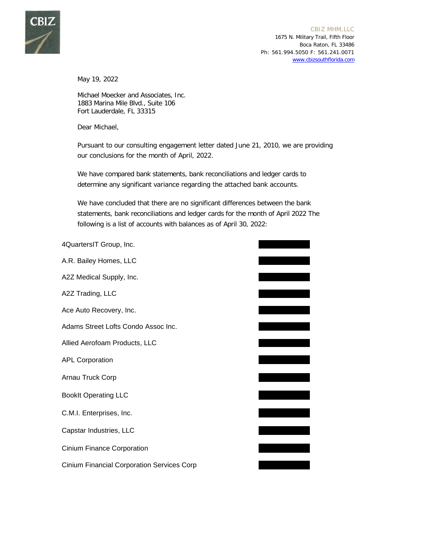

May 19, 2022

Michael Moecker and Associates, Inc. 1883 Marina Mile Blvd., Suite 106 Fort Lauderdale, FL 33315

Dear Michael,

Pursuant to our consulting engagement letter dated June 21, 2010, we are providing our conclusions for the month of April, 2022.

We have compared bank statements, bank reconciliations and ledger cards to determine any significant variance regarding the attached bank accounts.

We have concluded that there are no significant differences between the bank statements, bank reconciliations and ledger cards for the month of April 2022 The following is a list of accounts with balances as of April 30, 2022:

| 4QuartersIT Group, Inc.                           |  |
|---------------------------------------------------|--|
| A.R. Bailey Homes, LLC                            |  |
| A2Z Medical Supply, Inc.                          |  |
| A2Z Trading, LLC                                  |  |
| Ace Auto Recovery, Inc.                           |  |
| Adams Street Lofts Condo Assoc Inc.               |  |
| Allied Aerofoam Products, LLC                     |  |
| <b>APL Corporation</b>                            |  |
| Arnau Truck Corp                                  |  |
| <b>BookIt Operating LLC</b>                       |  |
| C.M.I. Enterprises, Inc.                          |  |
| Capstar Industries, LLC                           |  |
| <b>Cinium Finance Corporation</b>                 |  |
| <b>Cinium Financial Corporation Services Corp</b> |  |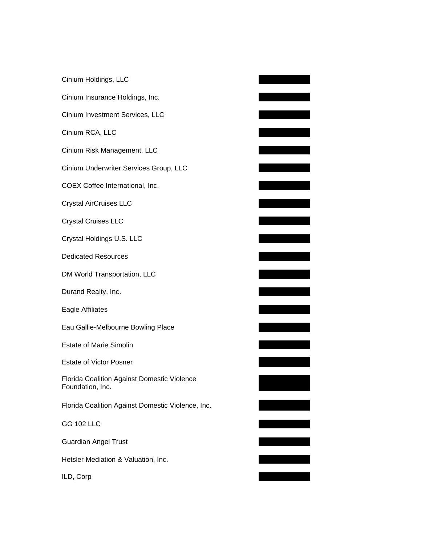| Cinium Holdings, LLC                                            |  |
|-----------------------------------------------------------------|--|
| Cinium Insurance Holdings, Inc.                                 |  |
| Cinium Investment Services, LLC                                 |  |
| Cinium RCA, LLC                                                 |  |
| Cinium Risk Management, LLC                                     |  |
| Cinium Underwriter Services Group, LLC                          |  |
| COEX Coffee International, Inc.                                 |  |
| <b>Crystal AirCruises LLC</b>                                   |  |
| <b>Crystal Cruises LLC</b>                                      |  |
| Crystal Holdings U.S. LLC                                       |  |
| <b>Dedicated Resources</b>                                      |  |
| DM World Transportation, LLC                                    |  |
| Durand Realty, Inc.                                             |  |
| Eagle Affiliates                                                |  |
| Eau Gallie-Melbourne Bowling Place                              |  |
| <b>Estate of Marie Simolin</b>                                  |  |
| <b>Estate of Victor Posner</b>                                  |  |
| Florida Coalition Against Domestic Violence<br>Foundation, Inc. |  |
| Florida Coalition Against Domestic Violence, Inc.               |  |
| <b>GG 102 LLC</b>                                               |  |
| <b>Guardian Angel Trust</b>                                     |  |
| Hetsler Mediation & Valuation, Inc.                             |  |
| ILD, Corp                                                       |  |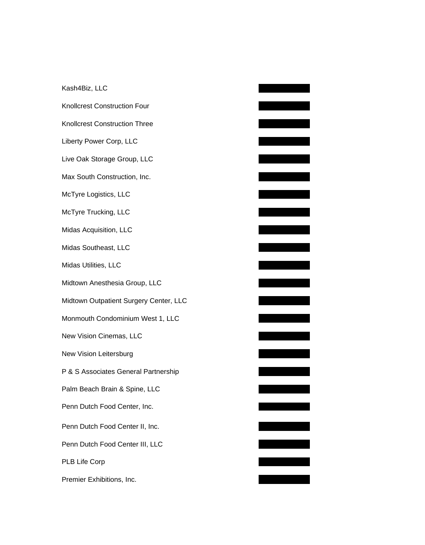| Kash4Biz, LLC                          |
|----------------------------------------|
| <b>Knollcrest Construction Four</b>    |
| <b>Knollcrest Construction Three</b>   |
| Liberty Power Corp, LLC                |
| Live Oak Storage Group, LLC            |
| Max South Construction, Inc.           |
| McTyre Logistics, LLC                  |
| McTyre Trucking, LLC                   |
| Midas Acquisition, LLC                 |
| Midas Southeast, LLC                   |
| Midas Utilities, LLC                   |
| Midtown Anesthesia Group, LLC          |
| Midtown Outpatient Surgery Center, LLC |
| Monmouth Condominium West 1, LLC       |
| New Vision Cinemas, LLC                |
| New Vision Leitersburg                 |
| P & S Associates General Partnership   |
| Palm Beach Brain & Spine, LLC          |
| Penn Dutch Food Center, Inc.           |
| Penn Dutch Food Center II, Inc.        |
| Penn Dutch Food Center III, LLC        |
| PLB Life Corp                          |
| Premier Exhibitions, Inc.              |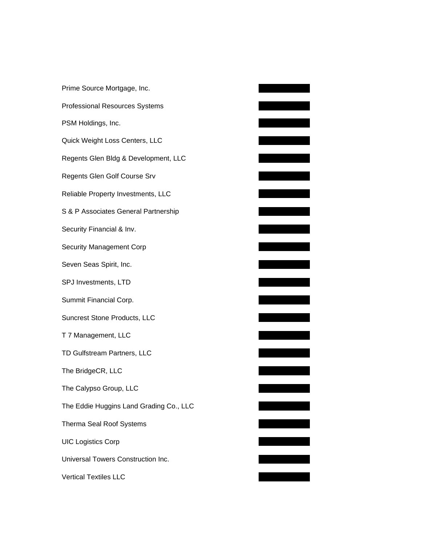| Prime Source Mortgage, Inc.             |
|-----------------------------------------|
| <b>Professional Resources Systems</b>   |
| PSM Holdings, Inc.                      |
| Quick Weight Loss Centers, LLC          |
| Regents Glen Bldg & Development, LLC    |
| Regents Glen Golf Course Srv            |
| Reliable Property Investments, LLC      |
| S & P Associates General Partnership    |
| Security Financial & Inv.               |
| <b>Security Management Corp</b>         |
| Seven Seas Spirit, Inc.                 |
| SPJ Investments, LTD                    |
| Summit Financial Corp.                  |
| Suncrest Stone Products, LLC            |
| T 7 Management, LLC                     |
| TD Gulfstream Partners, LLC             |
| The BridgeCR, LLC                       |
| The Calypso Group, LLC                  |
| The Eddie Huggins Land Grading Co., LLC |
| <b>Therma Seal Roof Systems</b>         |
| <b>UIC Logistics Corp</b>               |
| Universal Towers Construction Inc.      |
| <b>Vertical Textiles LLC</b>            |